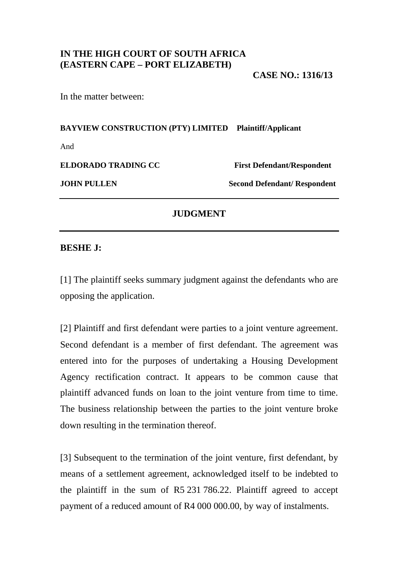# **IN THE HIGH COURT OF SOUTH AFRICA (EASTERN CAPE – PORT ELIZABETH)**

**CASE NO.: 1316/13** 

In the matter between:

**BAYVIEW CONSTRUCTION (PTY) LIMITED Plaintiff/Applicant** 

And

**ELDORADO TRADING CC** First Defendant/Respondent

**JOHN PULLEN** Second Defendant/ Respondent

### **JUDGMENT**

#### **BESHE J:**

[1] The plaintiff seeks summary judgment against the defendants who are opposing the application.

[2] Plaintiff and first defendant were parties to a joint venture agreement. Second defendant is a member of first defendant. The agreement was entered into for the purposes of undertaking a Housing Development Agency rectification contract. It appears to be common cause that plaintiff advanced funds on loan to the joint venture from time to time. The business relationship between the parties to the joint venture broke down resulting in the termination thereof.

[3] Subsequent to the termination of the joint venture, first defendant, by means of a settlement agreement, acknowledged itself to be indebted to the plaintiff in the sum of R5 231 786.22. Plaintiff agreed to accept payment of a reduced amount of R4 000 000.00, by way of instalments.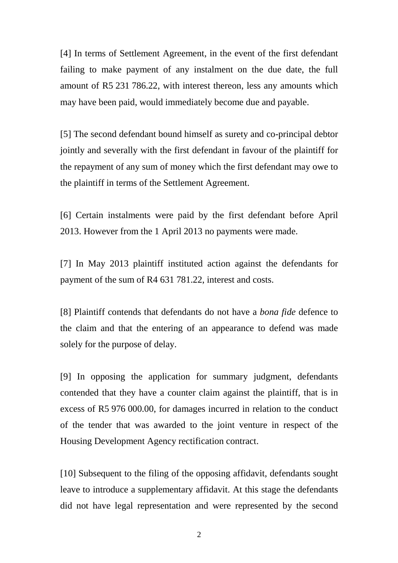[4] In terms of Settlement Agreement, in the event of the first defendant failing to make payment of any instalment on the due date, the full amount of R5 231 786.22, with interest thereon, less any amounts which may have been paid, would immediately become due and payable.

[5] The second defendant bound himself as surety and co-principal debtor jointly and severally with the first defendant in favour of the plaintiff for the repayment of any sum of money which the first defendant may owe to the plaintiff in terms of the Settlement Agreement.

[6] Certain instalments were paid by the first defendant before April 2013. However from the 1 April 2013 no payments were made.

[7] In May 2013 plaintiff instituted action against the defendants for payment of the sum of R4 631 781.22, interest and costs.

[8] Plaintiff contends that defendants do not have a *bona fide* defence to the claim and that the entering of an appearance to defend was made solely for the purpose of delay.

[9] In opposing the application for summary judgment, defendants contended that they have a counter claim against the plaintiff, that is in excess of R5 976 000.00, for damages incurred in relation to the conduct of the tender that was awarded to the joint venture in respect of the Housing Development Agency rectification contract.

[10] Subsequent to the filing of the opposing affidavit, defendants sought leave to introduce a supplementary affidavit. At this stage the defendants did not have legal representation and were represented by the second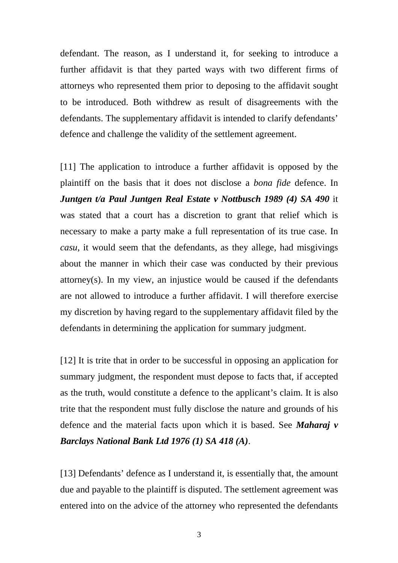defendant. The reason, as I understand it, for seeking to introduce a further affidavit is that they parted ways with two different firms of attorneys who represented them prior to deposing to the affidavit sought to be introduced. Both withdrew as result of disagreements with the defendants. The supplementary affidavit is intended to clarify defendants' defence and challenge the validity of the settlement agreement.

[11] The application to introduce a further affidavit is opposed by the plaintiff on the basis that it does not disclose a *bona fide* defence. In *Juntgen t/a Paul Juntgen Real Estate v Nottbusch 1989 (4) SA 490* it was stated that a court has a discretion to grant that relief which is necessary to make a party make a full representation of its true case. In *casu*, it would seem that the defendants, as they allege, had misgivings about the manner in which their case was conducted by their previous attorney(s). In my view, an injustice would be caused if the defendants are not allowed to introduce a further affidavit. I will therefore exercise my discretion by having regard to the supplementary affidavit filed by the defendants in determining the application for summary judgment.

[12] It is trite that in order to be successful in opposing an application for summary judgment, the respondent must depose to facts that, if accepted as the truth, would constitute a defence to the applicant's claim. It is also trite that the respondent must fully disclose the nature and grounds of his defence and the material facts upon which it is based. See *Maharaj v Barclays National Bank Ltd 1976 (1) SA 418 (A)*.

[13] Defendants' defence as I understand it, is essentially that, the amount due and payable to the plaintiff is disputed. The settlement agreement was entered into on the advice of the attorney who represented the defendants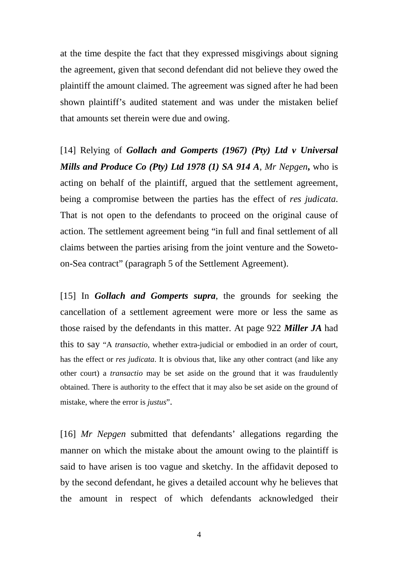at the time despite the fact that they expressed misgivings about signing the agreement, given that second defendant did not believe they owed the plaintiff the amount claimed. The agreement was signed after he had been shown plaintiff's audited statement and was under the mistaken belief that amounts set therein were due and owing.

[14] Relying of *Gollach and Gomperts (1967) (Pty) Ltd v Universal Mills and Produce Co (Pty) Ltd 1978 (1) SA 914 A*, *Mr Nepgen***,** who is acting on behalf of the plaintiff, argued that the settlement agreement, being a compromise between the parties has the effect of *res judicata*. That is not open to the defendants to proceed on the original cause of action. The settlement agreement being "in full and final settlement of all claims between the parties arising from the joint venture and the Sowetoon-Sea contract" (paragraph 5 of the Settlement Agreement).

[15] In *Gollach and Gomperts supra*, the grounds for seeking the cancellation of a settlement agreement were more or less the same as those raised by the defendants in this matter. At page 922 *Miller JA* had this to say "A *transactio*, whether extra-judicial or embodied in an order of court, has the effect or *res judicata*. It is obvious that, like any other contract (and like any other court) a *transactio* may be set aside on the ground that it was fraudulently obtained. There is authority to the effect that it may also be set aside on the ground of mistake, where the error is *justus*".

[16] *Mr Nepgen* submitted that defendants' allegations regarding the manner on which the mistake about the amount owing to the plaintiff is said to have arisen is too vague and sketchy. In the affidavit deposed to by the second defendant, he gives a detailed account why he believes that the amount in respect of which defendants acknowledged their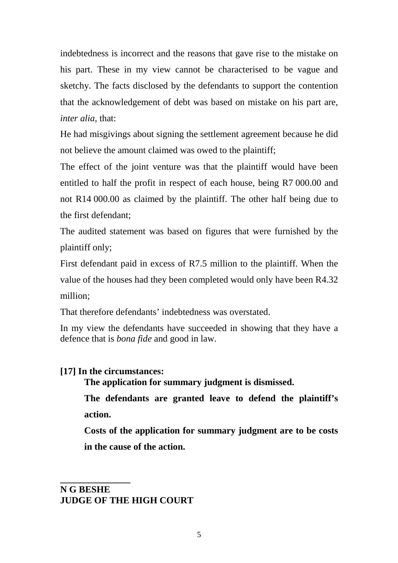indebtedness is incorrect and the reasons that gave rise to the mistake on his part. These in my view cannot be characterised to be vague and sketchy. The facts disclosed by the defendants to support the contention that the acknowledgement of debt was based on mistake on his part are, *inter alia*, that:

He had misgivings about signing the settlement agreement because he did not believe the amount claimed was owed to the plaintiff;

The effect of the joint venture was that the plaintiff would have been entitled to half the profit in respect of each house, being R7 000.00 and not R14 000.00 as claimed by the plaintiff. The other half being due to the first defendant;

The audited statement was based on figures that were furnished by the plaintiff only;

First defendant paid in excess of R7.5 million to the plaintiff. When the value of the houses had they been completed would only have been R4.32 million;

That therefore defendants' indebtedness was overstated.

In my view the defendants have succeeded in showing that they have a defence that is *bona fide* and good in law.

## **[17] In the circumstances:**

 **The application for summary judgment is dismissed.**

**The defendants are granted leave to defend the plaintiff's action.** 

**Costs of the application for summary judgment are to be costs in the cause of the action.** 

## **N G BESHE JUDGE OF THE HIGH COURT**

**\_\_\_\_\_\_\_\_\_\_\_\_\_\_\_**